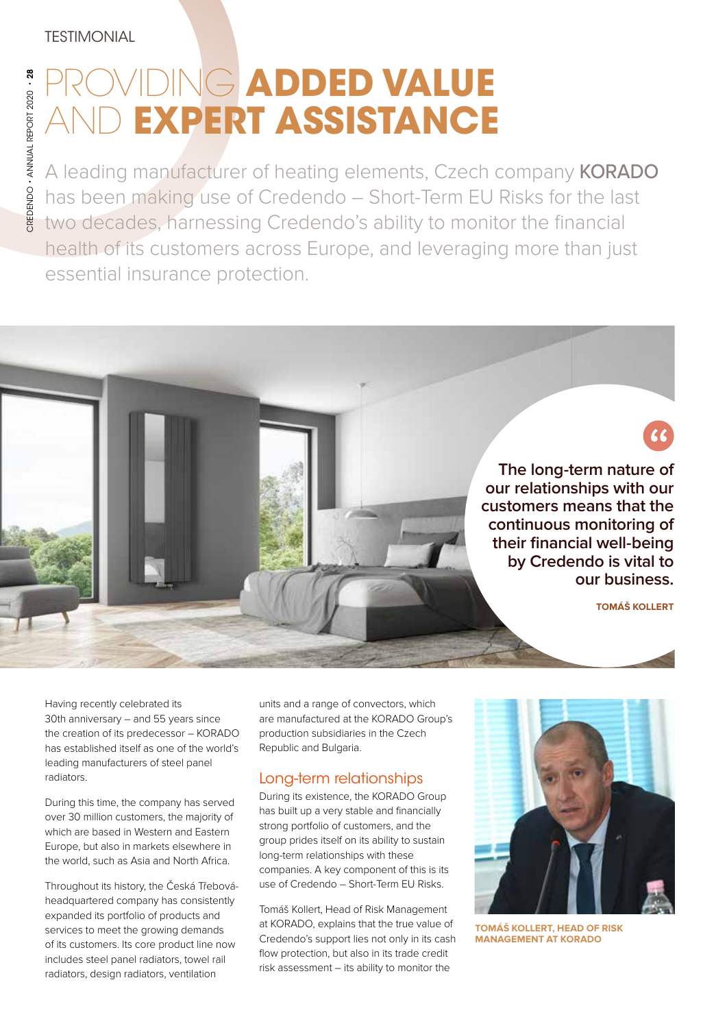# **IDING ADDED VALUE EXPERT ASSISTANCE**

A leading manufacturer of heating elements, Czech company KORADO has been making use of Credendo – Short-Term EU Risks for the last two decades, harnessing Credendo's ability to monitor the financial health of its customers across Europe, and leveraging more than just essential insurance protection.

> **The long-term nature of our relationships with our customers means that the continuous monitoring of their financial well-being by Credendo is vital to our business.**

> > **TOMÁŠ KOLLERT**

Having recently celebrated its 30th anniversary – and 55 years since the creation of its predecessor – KORADO has established itself as one of the world's leading manufacturers of steel panel radiators.

During this time, the company has served over 30 million customers, the majority of which are based in Western and Eastern Europe, but also in markets elsewhere in the world, such as Asia and North Africa.

Throughout its history, the Česká Třebováheadquartered company has consistently expanded its portfolio of products and services to meet the growing demands of its customers. Its core product line now includes steel panel radiators, towel rail radiators, design radiators, ventilation

units and a range of convectors, which are manufactured at the KORADO Group's production subsidiaries in the Czech Republic and Bulgaria.

## Long-term relationships

During its existence, the KORADO Group has built up a very stable and financially strong portfolio of customers, and the group prides itself on its ability to sustain long-term relationships with these companies. A key component of this is its use of Credendo – Short-Term EU Risks.

Tomáš Kollert, Head of Risk Management at KORADO, explains that the true value of Credendo's support lies not only in its cash flow protection, but also in its trade credit risk assessment – its ability to monitor the



**TOMÁŠ KOLLERT, HEAD OF RISK MANAGEMENT AT KORADO**